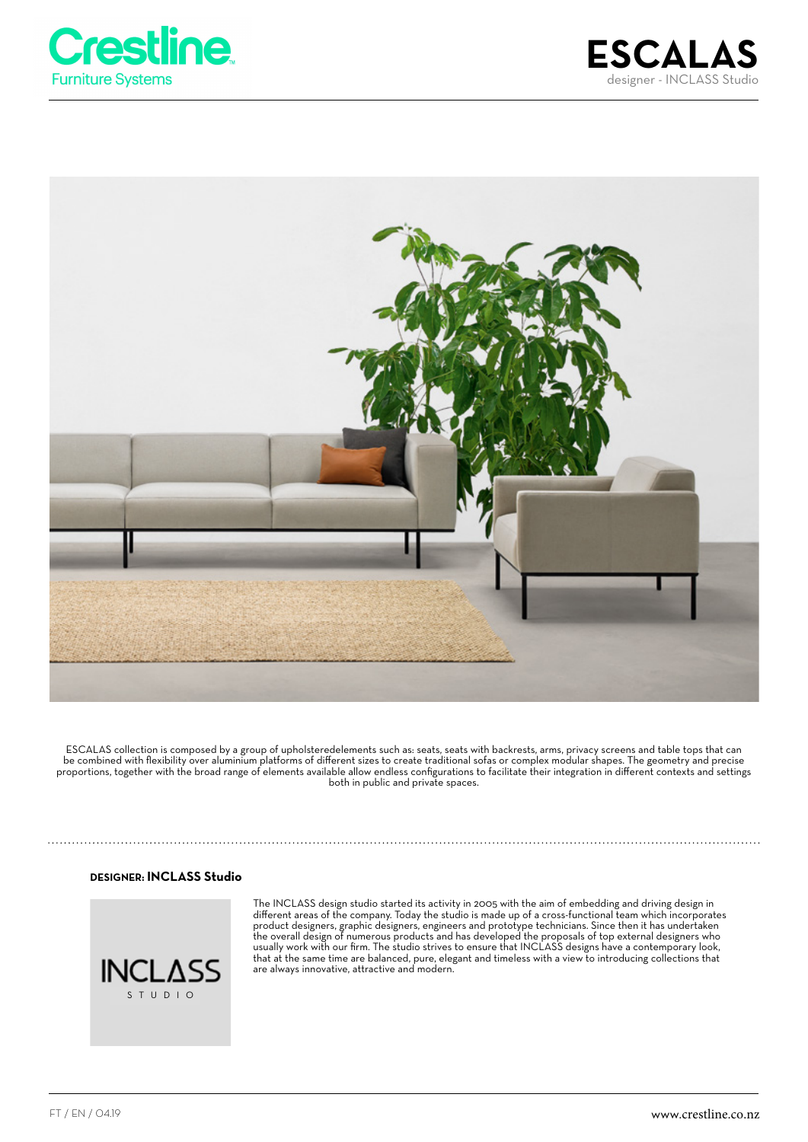





ESCALAS collection is composed by a group of upholsteredelements such as: seats, seats with backrests, arms, privacy screens and table tops that can be combined with flexibility over aluminium platforms of different sizes to create traditional sofas or complex modular shapes. The geometry and precise proportions, together with the broad range of elements available allow endless configurations to facilitate their integration in different contexts and settings both in public and private spaces.

#### **DESIGNER: INCLASS Studio**



The INCLASS design studio started its activity in 2005 with the aim of embedding and driving design in different areas of the company. Today the studio is made up of a cross-functional team which incorporates product designers, graphic designers, engineers and prototype technicians. Since then it has undertaken the overall design of numerous products and has developed the proposals of top external designers who usually work with our firm. The studio strives to ensure that INCLASS designs have a contemporary look, that at the same time are balanced, pure, elegant and timeless with a view to introducing collections that are always innovative, attractive and modern.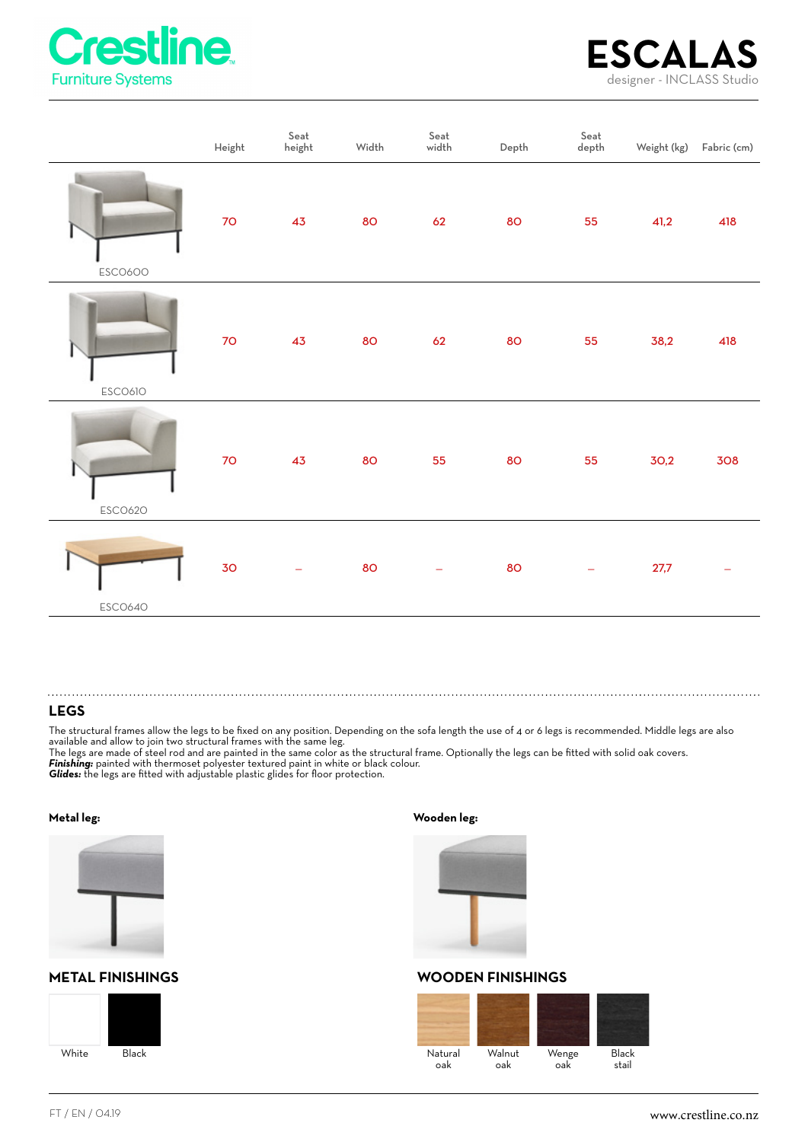



|         | Height          | Seat<br>height | Width | ${\sf Seat}$<br>$\sf width$ | Depth | $\ensuremath{\mathsf{Seat}}$<br>$\operatorname{\mathsf{depth}}$ |      | Weight (kg) Fabric (cm) |
|---------|-----------------|----------------|-------|-----------------------------|-------|-----------------------------------------------------------------|------|-------------------------|
| ESC0600 | $70\,$          | 43             | 80    | 62                          | 80    | 55                                                              | 41,2 | 418                     |
| ESCO610 | 70 <sub>o</sub> | 43             | 80    | 62                          | 80    | 55                                                              | 38,2 | 418                     |
| ESCO620 | 70 <sub>o</sub> | 43             | 80    | 55                          | 80    | 55                                                              | 30,2 | 308                     |
| ESC0640 | 30              |                | 80    |                             | 80    |                                                                 | 27,7 |                         |

### **LEGS**

The structural frames allow the legs to be fixed on any position. Depending on the sofa length the use of 4 or 6 legs is recommended. Middle legs are also available and allow to join two structural frames with the same leg.

The legs are made of steel rod and are painted in the same color as the structural frame. Optionally the legs can be fitted with solid oak covers. *Finishing:* painted with thermoset polyester textured paint in white or black colour.

*Glides:* the legs are fitted with adjustable plastic glides for floor protection.



## **METAL FINISHINGS WOODEN FINISHINGS**



**Metal leg: Wooden leg:**



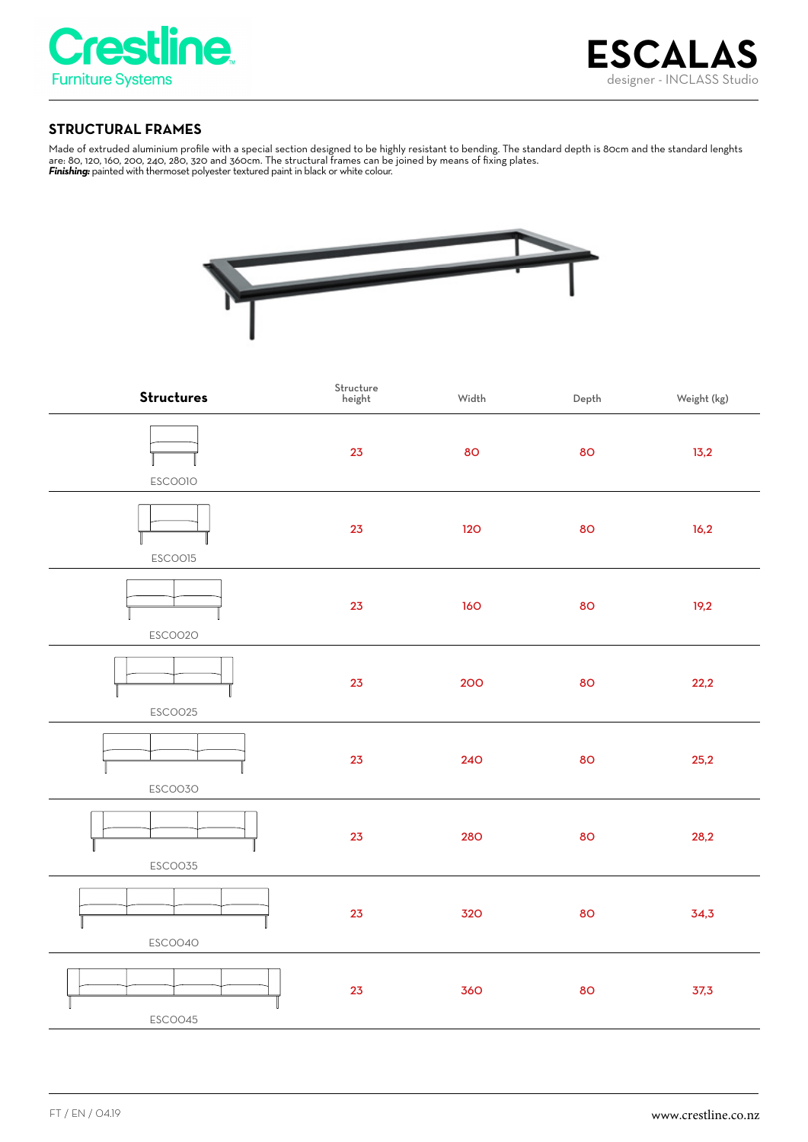

# **STRUCTURAL FRAMES**

Made of extruded aluminium profile with a special section designed to be highly resistant to bending. The standard depth is 80cm and the standard lenghts are: 80, 120, 160, 200, 240, 280, 320 and 360cm. The structural frames can be joined by means of fixing plates. *Finishing:* painted with thermoset polyester textured paint in black or white colour.



| <b>Structures</b> | Structure<br>height | Width | Depth | Weight (kg) |
|-------------------|---------------------|-------|-------|-------------|
| <b>ESCOOIO</b>    | 23                  | 80    | 80    | 13,2        |
| ESCOO15           | 23                  | 120   | 80    | 16,2        |
| ESCOO2O           | 23                  | 160   | 80    | 19,2        |
| ESCOO25           | 23                  | 200   | 80    | 22,2        |
| ESCOO3O           | 23                  | 240   | 80    | 25,2        |
| ESCO035           | 23                  | 280   | 80    | 28,2        |
| ESCOO40           | 23                  | 320   | 80    | 34,3        |
| ESCOO45           | 23                  | 360   | 80    | 37,3        |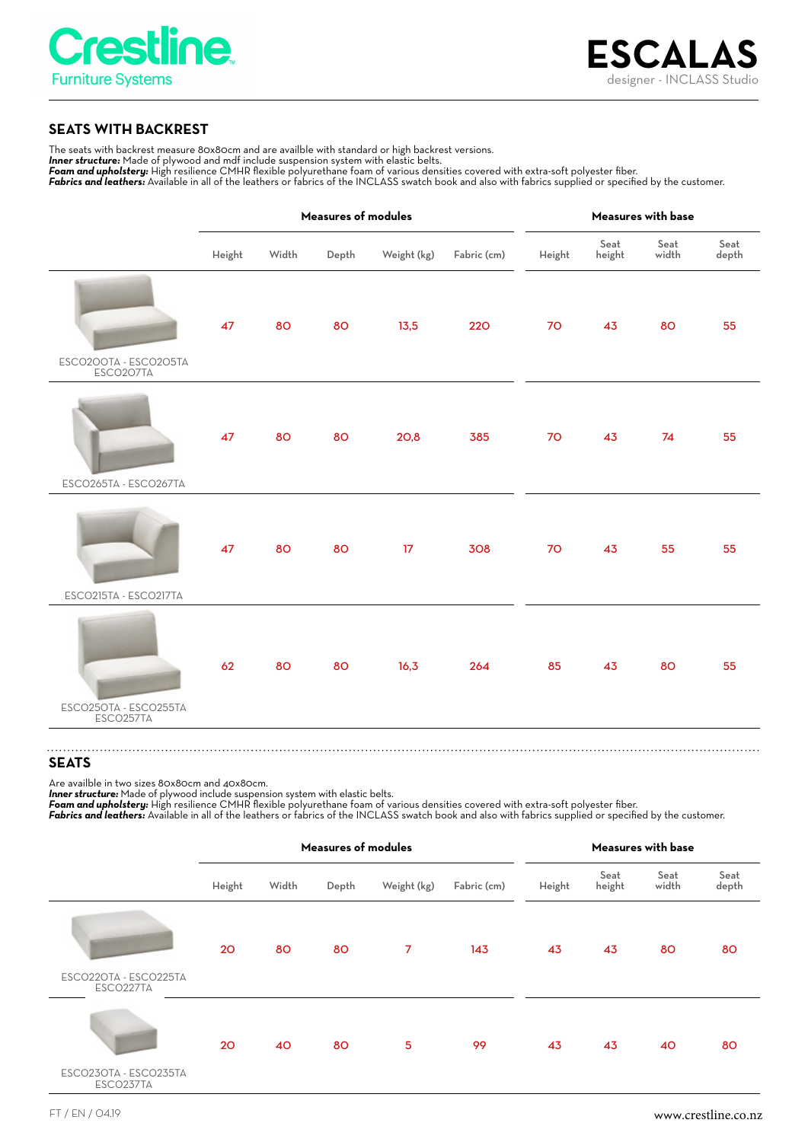

# **SEATS WITH BACKREST**

The seats with backrest measure 80x80cm and are availble with standard or high backrest versions.

*Inner structure:* Made of plywood and mdf include suspension system with elastic belts.

*Foam and upholstery:* High resilience CMHR flexible polyurethane foam of various densities covered with extra-soft polyester fiber. Fabrics and leathers: Available in all of the leathers or fabrics of the INCLASS swatch book and also with fabrics supplied or specified by the customer.

**Measures of modules Measures with base** Seat Seat Seat Height Width Depth Weight (kg) Fabric (cm) Height height width depth 47 80 80 13,5 220 70 43 80 55 ESC0200TA - ESC0205TA ESC0207TA 47 80 80 20,8 385 70 43 74 55 ESC0265TA - ESC0267TA 47 80 80 17 308 70 43 55 55 ESC0215TA - ESC0217TA 62 80 80 16,3 264 85 43 80 55 ESC0250TA - ESC0255TA ESC0257TA 

## **SEATS**

Are availble in two sizes 80x80cm and 40x80cm.

*Inner structure:* Made of plywood include suspension system with elastic belts. *Foam and upholstery:* High resilience CMHR flexible polyurethane foam of various densities covered with extra-soft polyester fiber. *Fabrics and leathers:* Available in all of the leathers or fabrics of the INCLASS swatch book and also with fabrics supplied or specified by the customer.

|                                    | <b>Measures of modules</b> |       |       |                | Measures with base |        |                |               |               |
|------------------------------------|----------------------------|-------|-------|----------------|--------------------|--------|----------------|---------------|---------------|
|                                    | Height                     | Width | Depth | Weight (kg)    | Fabric (cm)        | Height | Seat<br>height | Seat<br>width | Seat<br>depth |
|                                    | 20                         | 80    | 80    | $\overline{7}$ | 143                | 43     | 43             | 80            | 80            |
| ESCO22OTA - ESCO225TA<br>ESCO227TA |                            |       |       |                |                    |        |                |               |               |
|                                    | 20                         | 40    | 80    | 5              | 99                 | 43     | 43             | 40            | 80            |
| ESCO23OTA - ESCO235TA<br>ESCO237TA |                            |       |       |                |                    |        |                |               |               |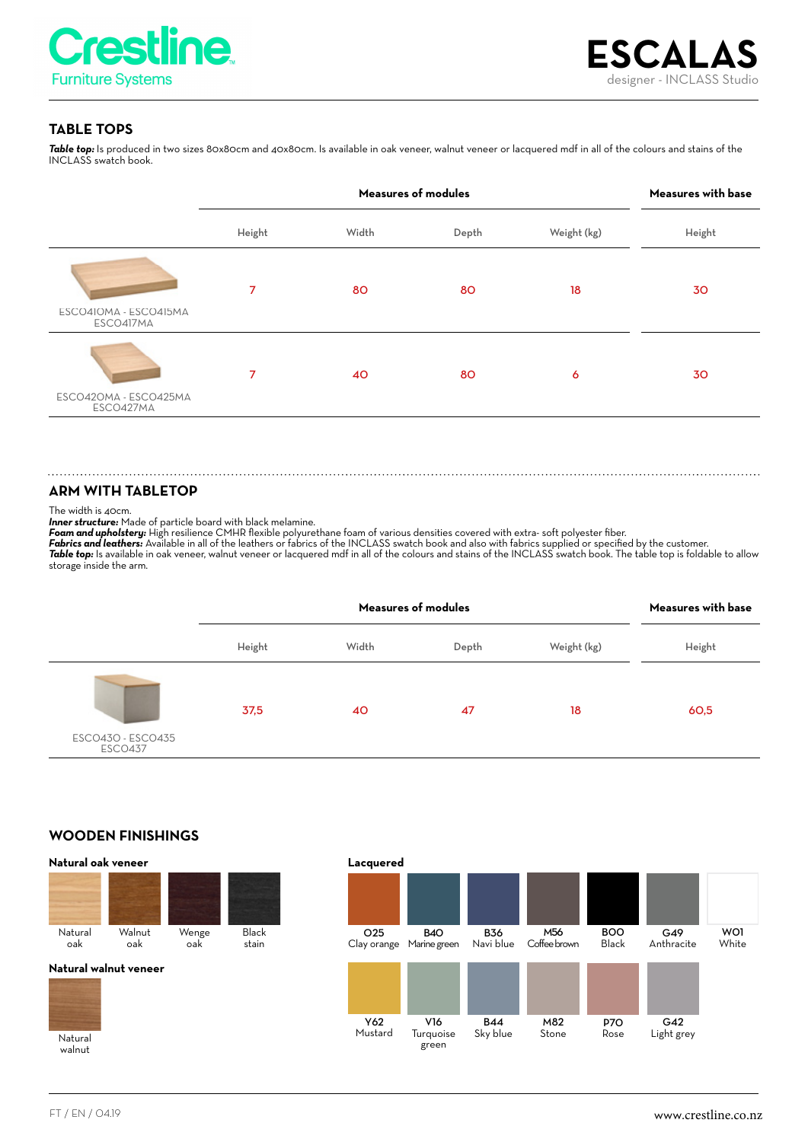

# **TABLE TOPS**

*Table top:* Is produced in two sizes 80x80cm and 40x80cm. Is available in oak veneer, walnut veneer or lacquered mdf in all of the colours and stains of the INCLASS swatch book.

|                                    |        | Measures with base |       |             |        |
|------------------------------------|--------|--------------------|-------|-------------|--------|
|                                    | Height | Width              | Depth | Weight (kg) | Height |
| ESCO410MA - ESCO415MA<br>ESCO417MA | 7      | 80                 | 80    | 18          | 30     |
| ESCO42OMA - ESCO425MA<br>ESCO427MA | 7      | 40                 | 80    | 6           | 30     |

#### **ARM WITH TABLETOP**

The width is 40cm.

*Inner structure:* Made of particle board with black melamine.

*Foam and upholstery:* High resilience CMHR flexible polyurethane foam of various densities covered with extra- soft polyester fiber.

*Fabrics and leathers:* Available in all of the leathers or fabrics of the INCLASS swatch book and also with fabrics supplied or specified by the customer. Table top: Is available in oak veneer, walnut veneer or lacquered mdf in all of the colours and stains of the INCLASS swatch book. The table top is foldable to allow storage inside the arm.

|                                     |        | Measures with base |       |             |        |
|-------------------------------------|--------|--------------------|-------|-------------|--------|
|                                     | Height | Width              | Depth | Weight (kg) | Height |
|                                     | 37,5   | 40                 | 47    | 18          | 60,5   |
| ESCO430 - ESCO435<br><b>ESCO437</b> |        |                    |       |             |        |

## **WOODEN FINISHINGS**